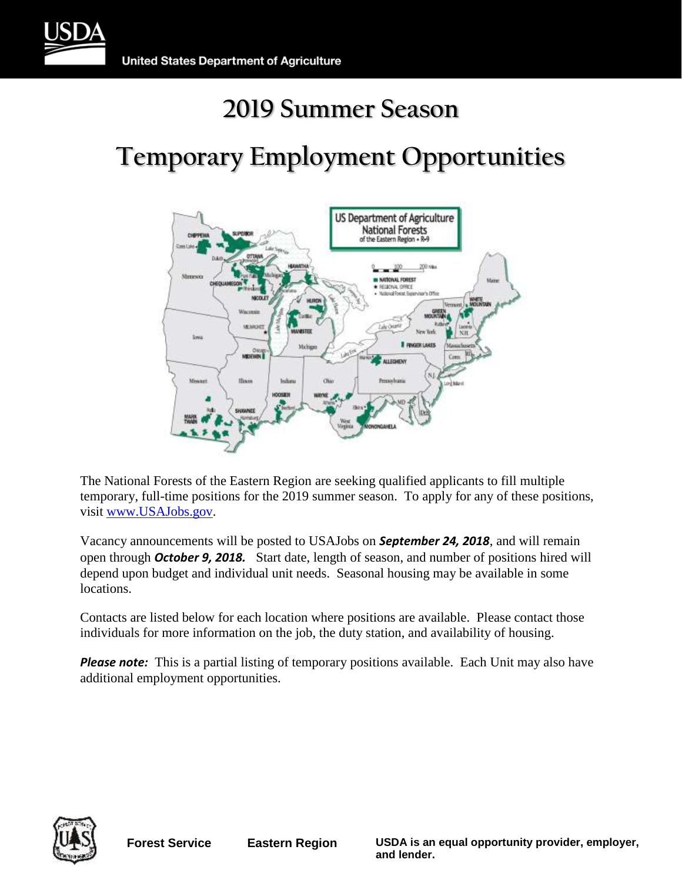

# **Temporary Employment Opportunities**



The National Forests of the Eastern Region are seeking qualified applicants to fill multiple temporary, full-time positions for the 2019 summer season. To apply for any of these positions, visit [www.USAJobs.gov.](http://www.usajobs.gov/)

Vacancy announcements will be posted to USAJobs on *September 24, 2018*, and will remain open through *October 9, 2018.* Start date, length of season, and number of positions hired will depend upon budget and individual unit needs. Seasonal housing may be available in some locations.

Contacts are listed below for each location where positions are available. Please contact those individuals for more information on the job, the duty station, and availability of housing.

**Please note:** This is a partial listing of temporary positions available. Each Unit may also have additional employment opportunities.



**Forest Service Eastern Region USDA is an equal opportunity provider, employer, and lender.**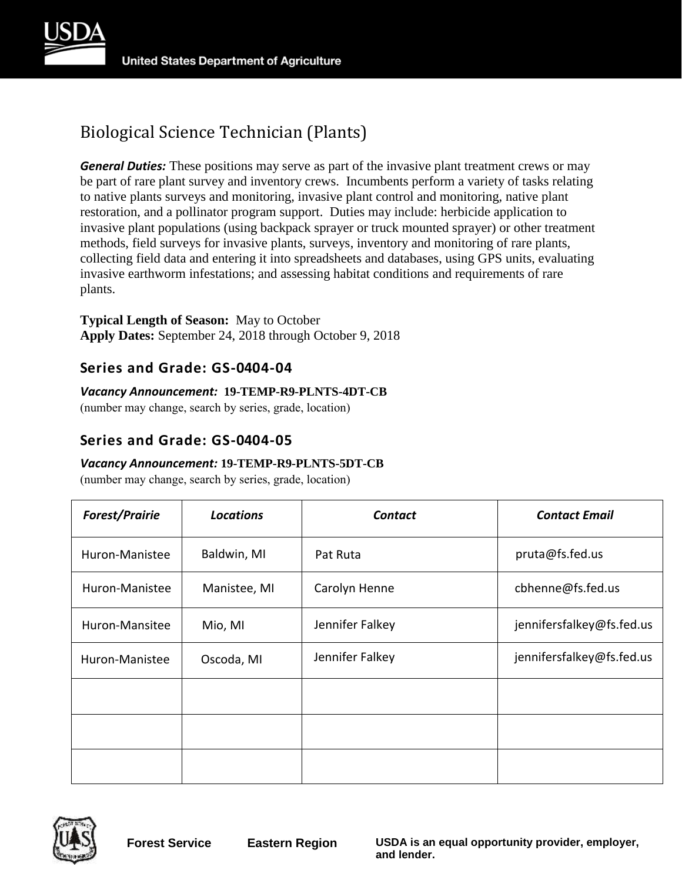

# Biological Science Technician (Plants)

*General Duties:* These positions may serve as part of the invasive plant treatment crews or may be part of rare plant survey and inventory crews. Incumbents perform a variety of tasks relating to native plants surveys and monitoring, invasive plant control and monitoring, native plant restoration, and a pollinator program support. Duties may include: herbicide application to invasive plant populations (using backpack sprayer or truck mounted sprayer) or other treatment methods, field surveys for invasive plants, surveys, inventory and monitoring of rare plants, collecting field data and entering it into spreadsheets and databases, using GPS units, evaluating invasive earthworm infestations; and assessing habitat conditions and requirements of rare plants.

#### **Typical Length of Season:** May to October **Apply Dates:** September 24, 2018 through October 9, 2018

### **Series and Grade: GS-0404-04**

### *Vacancy Announcement:* **19-TEMP-R9-PLNTS-4DT-CB**

(number may change, search by series, grade, location)

## **Series and Grade: GS-0404-05**

### *Vacancy Announcement:* **19-TEMP-R9-PLNTS-5DT-CB**

| <b>Forest/Prairie</b> | <b>Locations</b> | <b>Contact</b>  | <b>Contact Email</b>      |
|-----------------------|------------------|-----------------|---------------------------|
| Huron-Manistee        | Baldwin, MI      | Pat Ruta        | pruta@fs.fed.us           |
| Huron-Manistee        | Manistee, MI     | Carolyn Henne   | cbhenne@fs.fed.us         |
| Huron-Mansitee        | Mio, MI          | Jennifer Falkey | jennifersfalkey@fs.fed.us |
| Huron-Manistee        | Oscoda, MI       | Jennifer Falkey | jennifersfalkey@fs.fed.us |
|                       |                  |                 |                           |
|                       |                  |                 |                           |
|                       |                  |                 |                           |

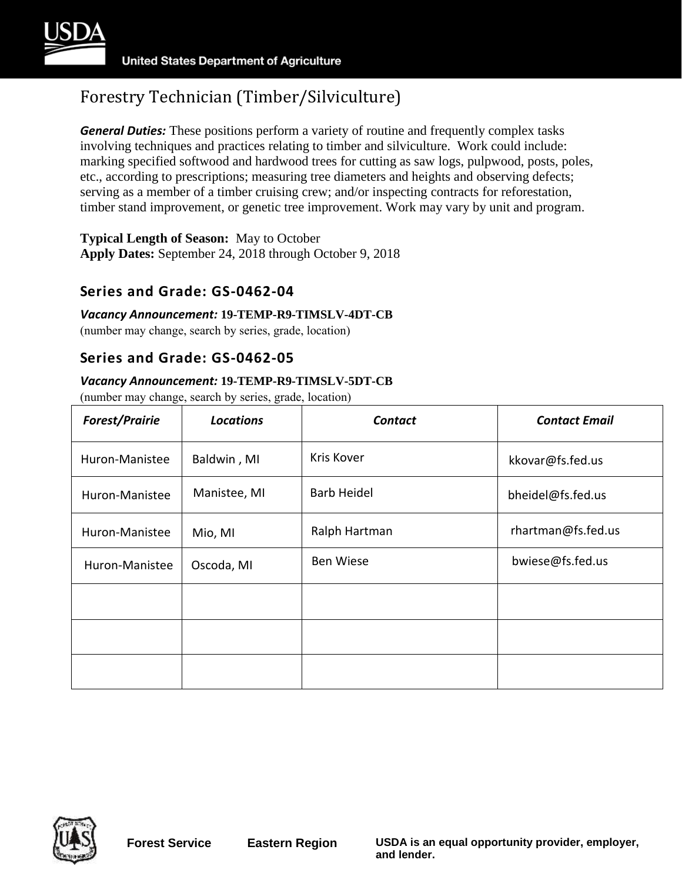

*General Duties:* These positions perform a variety of routine and frequently complex tasks involving techniques and practices relating to timber and silviculture. Work could include: marking specified softwood and hardwood trees for cutting as saw logs, pulpwood, posts, poles, etc., according to prescriptions; measuring tree diameters and heights and observing defects; serving as a member of a timber cruising crew; and/or inspecting contracts for reforestation, timber stand improvement, or genetic tree improvement. Work may vary by unit and program.

**Typical Length of Season:** May to October **Apply Dates:** September 24, 2018 through October 9, 2018

### **Series and Grade: GS-0462-04**

#### *Vacancy Announcement:* **19-TEMP-R9-TIMSLV-4DT-CB**

(number may change, search by series, grade, location)

### **Series and Grade: GS-0462-05**

#### *Vacancy Announcement:* **19-TEMP-R9-TIMSLV-5DT-CB**

| <b>Forest/Prairie</b> | <b>Locations</b> | <b>Contact</b>     | <b>Contact Email</b> |
|-----------------------|------------------|--------------------|----------------------|
| Huron-Manistee        | Baldwin, MI      | Kris Kover         | kkovar@fs.fed.us     |
| Huron-Manistee        | Manistee, MI     | <b>Barb Heidel</b> | bheidel@fs.fed.us    |
| Huron-Manistee        | Mio, MI          | Ralph Hartman      | rhartman@fs.fed.us   |
| Huron-Manistee        | Oscoda, MI       | <b>Ben Wiese</b>   | bwiese@fs.fed.us     |
|                       |                  |                    |                      |
|                       |                  |                    |                      |
|                       |                  |                    |                      |

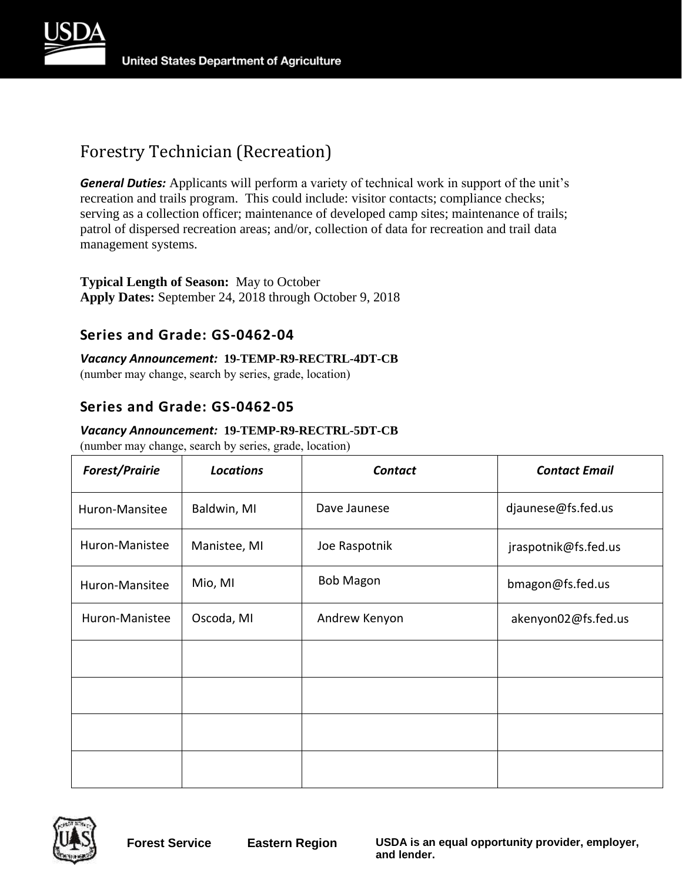

# Forestry Technician (Recreation)

*General Duties:* Applicants will perform a variety of technical work in support of the unit's recreation and trails program. This could include: visitor contacts; compliance checks; serving as a collection officer; maintenance of developed camp sites; maintenance of trails; patrol of dispersed recreation areas; and/or, collection of data for recreation and trail data management systems.

### **Typical Length of Season:** May to October **Apply Dates:** September 24, 2018 through October 9, 2018

### **Series and Grade: GS-0462-04**

*Vacancy Announcement:* **19-TEMP-R9-RECTRL-4DT-CB** 

(number may change, search by series, grade, location)

# **Series and Grade: GS-0462-05**

#### *Vacancy Announcement:* **19-TEMP-R9-RECTRL-5DT-CB**

| <b>Forest/Prairie</b> | <b>Locations</b> | <b>Contact</b>   | <b>Contact Email</b> |
|-----------------------|------------------|------------------|----------------------|
| Huron-Mansitee        | Baldwin, MI      | Dave Jaunese     | djaunese@fs.fed.us   |
| Huron-Manistee        | Manistee, MI     | Joe Raspotnik    | jraspotnik@fs.fed.us |
| Huron-Mansitee        | Mio, MI          | <b>Bob Magon</b> | bmagon@fs.fed.us     |
| Huron-Manistee        | Oscoda, MI       | Andrew Kenyon    | akenyon02@fs.fed.us  |
|                       |                  |                  |                      |
|                       |                  |                  |                      |
|                       |                  |                  |                      |
|                       |                  |                  |                      |

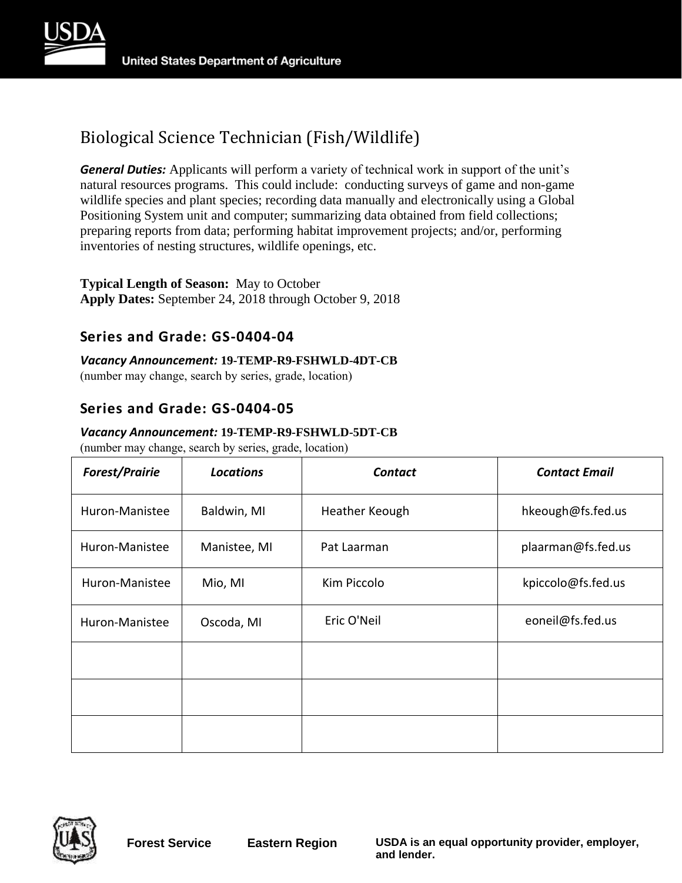

# Biological Science Technician (Fish/Wildlife)

*General Duties:* Applicants will perform a variety of technical work in support of the unit's natural resources programs. This could include: conducting surveys of game and non-game wildlife species and plant species; recording data manually and electronically using a Global Positioning System unit and computer; summarizing data obtained from field collections; preparing reports from data; performing habitat improvement projects; and/or, performing inventories of nesting structures, wildlife openings, etc.

### **Typical Length of Season:** May to October **Apply Dates:** September 24, 2018 through October 9, 2018

# **Series and Grade: GS-0404-04**

*Vacancy Announcement:* **19-TEMP-R9-FSHWLD-4DT-CB** 

(number may change, search by series, grade, location)

# **Series and Grade: GS-0404-05**

### *Vacancy Announcement:* **19-TEMP-R9-FSHWLD-5DT-CB**

| <b>Forest/Prairie</b> | <b>Locations</b> | <b>Contact</b> | <b>Contact Email</b> |
|-----------------------|------------------|----------------|----------------------|
| Huron-Manistee        | Baldwin, MI      | Heather Keough | hkeough@fs.fed.us    |
| Huron-Manistee        | Manistee, MI     | Pat Laarman    | plaarman@fs.fed.us   |
| Huron-Manistee        | Mio, MI          | Kim Piccolo    | kpiccolo@fs.fed.us   |
| Huron-Manistee        | Oscoda, MI       | Eric O'Neil    | eoneil@fs.fed.us     |
|                       |                  |                |                      |
|                       |                  |                |                      |
|                       |                  |                |                      |

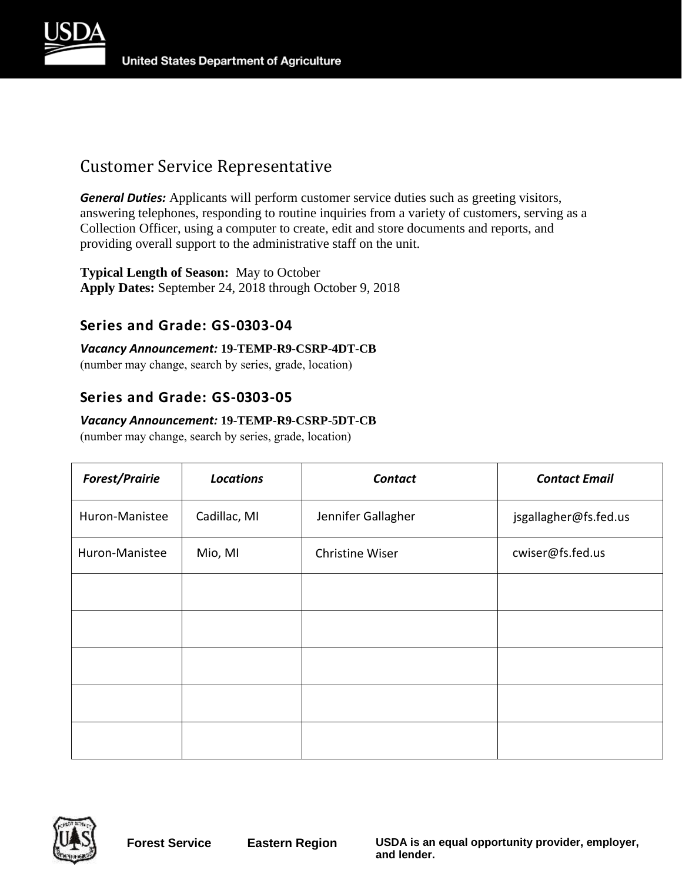



# Customer Service Representative

*General Duties:* Applicants will perform customer service duties such as greeting visitors, answering telephones, responding to routine inquiries from a variety of customers, serving as a Collection Officer, using a computer to create, edit and store documents and reports, and providing overall support to the administrative staff on the unit.

#### **Typical Length of Season:** May to October **Apply Dates:** September 24, 2018 through October 9, 2018

# **Series and Grade: GS-0303-04**

### *Vacancy Announcement:* **19-TEMP-R9-CSRP-4DT-CB**

(number may change, search by series, grade, location)

# **Series and Grade: GS-0303-05**

#### *Vacancy Announcement:* **19-TEMP-R9-CSRP-5DT-CB**

| <b>Forest/Prairie</b> | <b>Locations</b> | <b>Contact</b>     | <b>Contact Email</b>  |
|-----------------------|------------------|--------------------|-----------------------|
| Huron-Manistee        | Cadillac, MI     | Jennifer Gallagher | jsgallagher@fs.fed.us |
| Huron-Manistee        | Mio, MI          | Christine Wiser    | cwiser@fs.fed.us      |
|                       |                  |                    |                       |
|                       |                  |                    |                       |
|                       |                  |                    |                       |
|                       |                  |                    |                       |
|                       |                  |                    |                       |

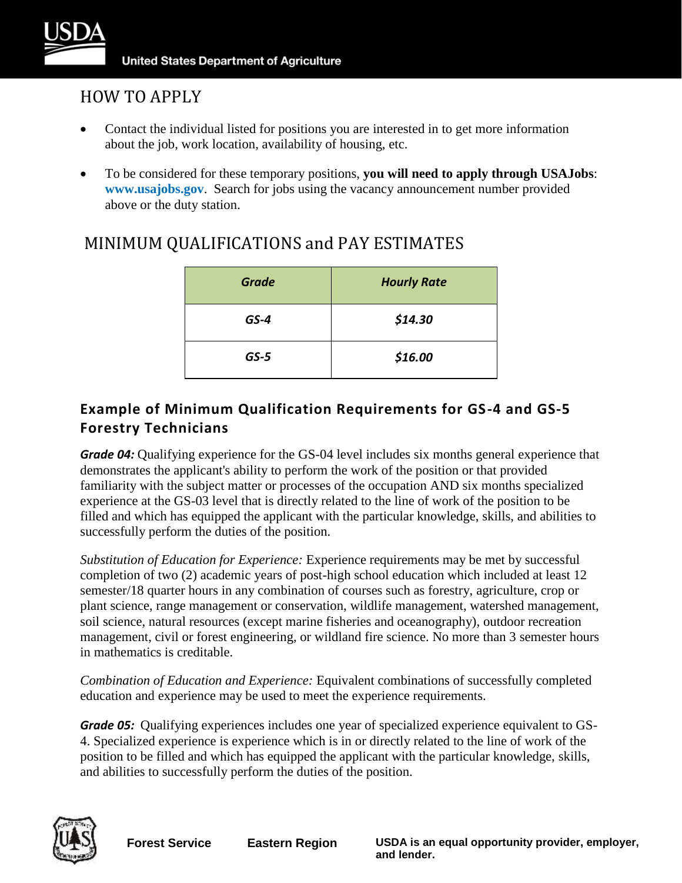

# HOW TO APPLY

- Contact the individual listed for positions you are interested in to get more information about the job, work location, availability of housing, etc.
- To be considered for these temporary positions, **you will need to apply through USAJobs**: **[www.usajobs.gov](http://www.usajobs.gov/)**. Search for jobs using the vacancy announcement number provided above or the duty station.

| <b>Grade</b> | <b>Hourly Rate</b> |
|--------------|--------------------|
| $GS-4$       | \$14.30            |
| $GS-5$       | \$16.00            |

# MINIMUM QUALIFICATIONS and PAY ESTIMATES

# **Example of Minimum Qualification Requirements for GS-4 and GS-5 Forestry Technicians**

*Grade 04:* Qualifying experience for the GS-04 level includes six months general experience that demonstrates the applicant's ability to perform the work of the position or that provided familiarity with the subject matter or processes of the occupation AND six months specialized experience at the GS-03 level that is directly related to the line of work of the position to be filled and which has equipped the applicant with the particular knowledge, skills, and abilities to successfully perform the duties of the position.

*Substitution of Education for Experience:* Experience requirements may be met by successful completion of two (2) academic years of post-high school education which included at least 12 semester/18 quarter hours in any combination of courses such as forestry, agriculture, crop or plant science, range management or conservation, wildlife management, watershed management, soil science, natural resources (except marine fisheries and oceanography), outdoor recreation management, civil or forest engineering, or wildland fire science. No more than 3 semester hours in mathematics is creditable.

*Combination of Education and Experience:* Equivalent combinations of successfully completed education and experience may be used to meet the experience requirements.

*Grade 05:* Qualifying experiences includes one year of specialized experience equivalent to GS-4. Specialized experience is experience which is in or directly related to the line of work of the position to be filled and which has equipped the applicant with the particular knowledge, skills, and abilities to successfully perform the duties of the position.



**Forest Service Eastern Region USDA is an equal opportunity provider, employer, and lender.**